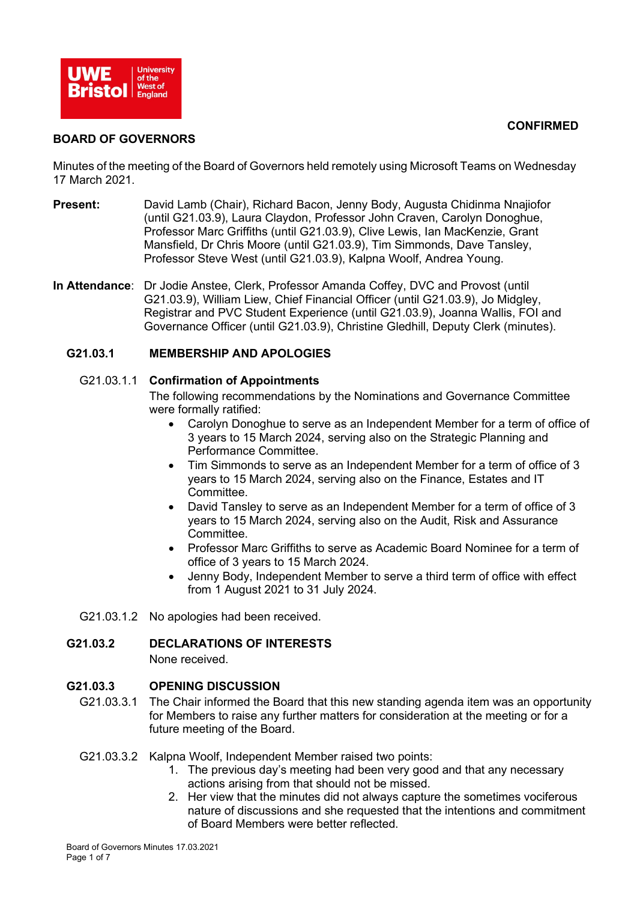



#### **BOARD OF GOVERNORS**

Minutes of the meeting of the Board of Governors held remotely using Microsoft Teams on Wednesday 17 March 2021.

- **Present:** David Lamb (Chair), Richard Bacon, Jenny Body, Augusta Chidinma Nnajiofor (until G21.03.9), Laura Claydon, Professor John Craven, Carolyn Donoghue, Professor Marc Griffiths (until G21.03.9), Clive Lewis, Ian MacKenzie, Grant Mansfield, Dr Chris Moore (until G21.03.9), Tim Simmonds, Dave Tansley, Professor Steve West (until G21.03.9), Kalpna Woolf, Andrea Young.
- **In Attendance**: Dr Jodie Anstee, Clerk, Professor Amanda Coffey, DVC and Provost (until G21.03.9), William Liew, Chief Financial Officer (until G21.03.9), Jo Midgley, Registrar and PVC Student Experience (until G21.03.9), Joanna Wallis, FOI and Governance Officer (until G21.03.9), Christine Gledhill, Deputy Clerk (minutes).

#### **G21.03.1 MEMBERSHIP AND APOLOGIES**

#### G21.03.1.1 **Confirmation of Appointments**

The following recommendations by the Nominations and Governance Committee were formally ratified:

- Carolyn Donoghue to serve as an Independent Member for a term of office of 3 years to 15 March 2024, serving also on the Strategic Planning and Performance Committee.
- Tim Simmonds to serve as an Independent Member for a term of office of 3 years to 15 March 2024, serving also on the Finance, Estates and IT Committee.
- David Tansley to serve as an Independent Member for a term of office of 3 years to 15 March 2024, serving also on the Audit, Risk and Assurance Committee.
- Professor Marc Griffiths to serve as Academic Board Nominee for a term of office of 3 years to 15 March 2024.
- Jenny Body, Independent Member to serve a third term of office with effect from 1 August 2021 to 31 July 2024.
- G21.03.1.2 No apologies had been received.

#### **G21.03.2 DECLARATIONS OF INTERESTS**

None received.

#### **G21.03.3 OPENING DISCUSSION**

G21.03.3.1 The Chair informed the Board that this new standing agenda item was an opportunity for Members to raise any further matters for consideration at the meeting or for a future meeting of the Board.

#### G21.03.3.2 Kalpna Woolf, Independent Member raised two points:

- 1. The previous day's meeting had been very good and that any necessary actions arising from that should not be missed.
- 2. Her view that the minutes did not always capture the sometimes vociferous nature of discussions and she requested that the intentions and commitment of Board Members were better reflected.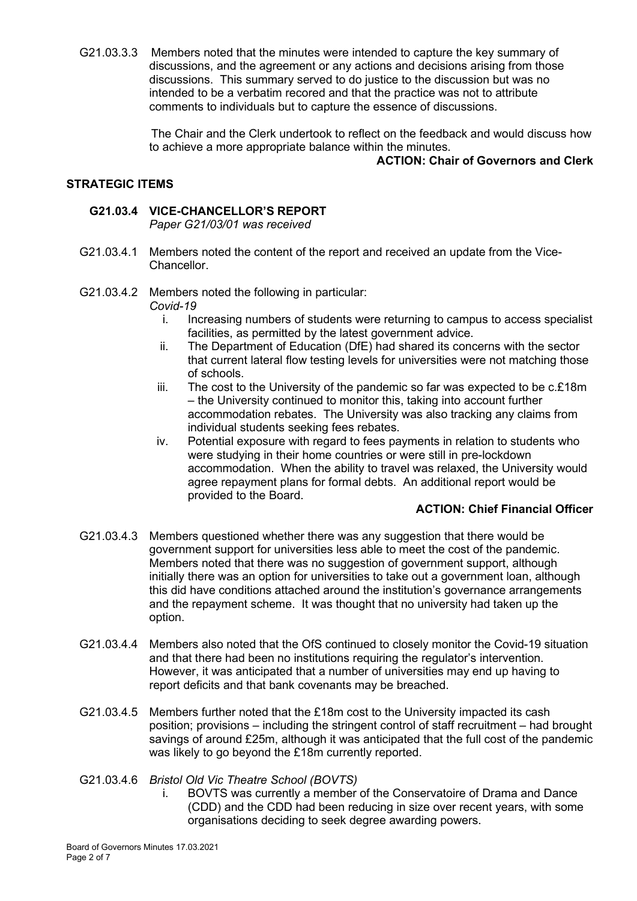G21.03.3.3 Members noted that the minutes were intended to capture the key summary of discussions, and the agreement or any actions and decisions arising from those discussions. This summary served to do justice to the discussion but was no intended to be a verbatim recored and that the practice was not to attribute comments to individuals but to capture the essence of discussions.

> The Chair and the Clerk undertook to reflect on the feedback and would discuss how to achieve a more appropriate balance within the minutes.

# **ACTION: Chair of Governors and Clerk**

#### **STRATEGIC ITEMS**

# **G21.03.4 VICE-CHANCELLOR'S REPORT**

*Paper G21/03/01 was received*

- G21.03.4.1 Members noted the content of the report and received an update from the Vice-Chancellor.
- G21.03.4.2 Members noted the following in particular:

*Covid-19*

- i. Increasing numbers of students were returning to campus to access specialist facilities, as permitted by the latest government advice.
- ii. The Department of Education (DfE) had shared its concerns with the sector that current lateral flow testing levels for universities were not matching those of schools.
- iii. The cost to the University of the pandemic so far was expected to be  $c.f.18m$ – the University continued to monitor this, taking into account further accommodation rebates. The University was also tracking any claims from individual students seeking fees rebates.
- iv. Potential exposure with regard to fees payments in relation to students who were studying in their home countries or were still in pre-lockdown accommodation. When the ability to travel was relaxed, the University would agree repayment plans for formal debts. An additional report would be provided to the Board.

### **ACTION: Chief Financial Officer**

- G21.03.4.3 Members questioned whether there was any suggestion that there would be government support for universities less able to meet the cost of the pandemic. Members noted that there was no suggestion of government support, although initially there was an option for universities to take out a government loan, although this did have conditions attached around the institution's governance arrangements and the repayment scheme. It was thought that no university had taken up the option.
- G21.03.4.4 Members also noted that the OfS continued to closely monitor the Covid-19 situation and that there had been no institutions requiring the regulator's intervention. However, it was anticipated that a number of universities may end up having to report deficits and that bank covenants may be breached.
- G21.03.4.5 Members further noted that the £18m cost to the University impacted its cash position; provisions – including the stringent control of staff recruitment – had brought savings of around £25m, although it was anticipated that the full cost of the pandemic was likely to go beyond the £18m currently reported.
- G21.03.4.6 *Bristol Old Vic Theatre School (BOVTS)*
	- i. BOVTS was currently a member of the Conservatoire of Drama and Dance (CDD) and the CDD had been reducing in size over recent years, with some organisations deciding to seek degree awarding powers.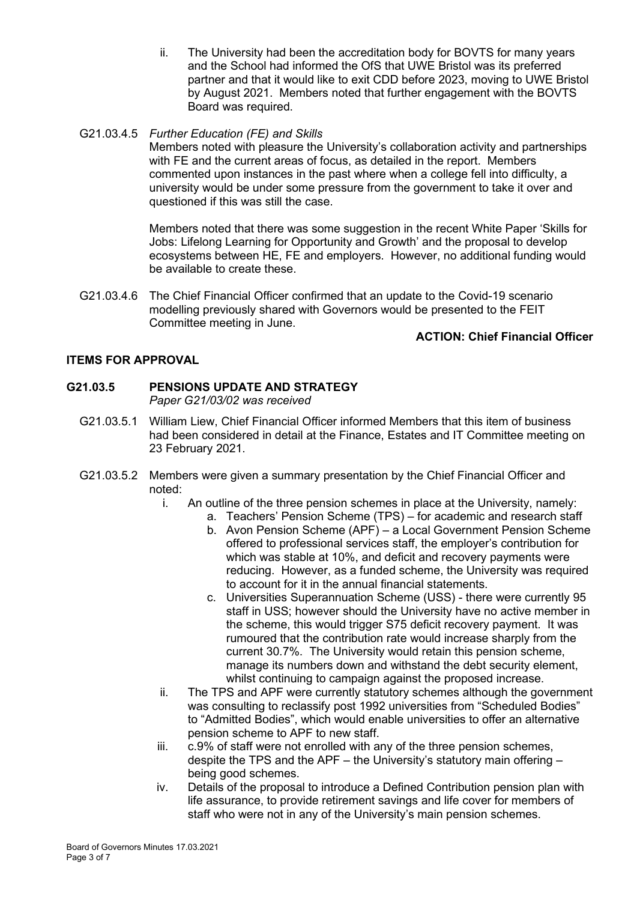- ii. The University had been the accreditation body for BOVTS for many years and the School had informed the OfS that UWE Bristol was its preferred partner and that it would like to exit CDD before 2023, moving to UWE Bristol by August 2021. Members noted that further engagement with the BOVTS Board was required.
- G21.03.4.5 *Further Education (FE) and Skills*

Members noted with pleasure the University's collaboration activity and partnerships with FE and the current areas of focus, as detailed in the report. Members commented upon instances in the past where when a college fell into difficulty, a university would be under some pressure from the government to take it over and questioned if this was still the case.

Members noted that there was some suggestion in the recent White Paper 'Skills for Jobs: Lifelong Learning for Opportunity and Growth' and the proposal to develop ecosystems between HE, FE and employers. However, no additional funding would be available to create these.

G21.03.4.6 The Chief Financial Officer confirmed that an update to the Covid-19 scenario modelling previously shared with Governors would be presented to the FEIT Committee meeting in June.

# **ACTION: Chief Financial Officer**

### **ITEMS FOR APPROVAL**

# **G21.03.5 PENSIONS UPDATE AND STRATEGY**

*Paper G21/03/02 was received*

- G21.03.5.1 William Liew, Chief Financial Officer informed Members that this item of business had been considered in detail at the Finance, Estates and IT Committee meeting on 23 February 2021.
- G21.03.5.2 Members were given a summary presentation by the Chief Financial Officer and noted:
	- i. An outline of the three pension schemes in place at the University, namely:
		- a. Teachers' Pension Scheme (TPS) for academic and research staff
			- b. Avon Pension Scheme (APF) a Local Government Pension Scheme offered to professional services staff, the employer's contribution for which was stable at 10%, and deficit and recovery payments were reducing. However, as a funded scheme, the University was required to account for it in the annual financial statements.
			- c. Universities Superannuation Scheme (USS) there were currently 95 staff in USS; however should the University have no active member in the scheme, this would trigger S75 deficit recovery payment. It was rumoured that the contribution rate would increase sharply from the current 30.7%. The University would retain this pension scheme, manage its numbers down and withstand the debt security element, whilst continuing to campaign against the proposed increase.
	- ii. The TPS and APF were currently statutory schemes although the government was consulting to reclassify post 1992 universities from "Scheduled Bodies" to "Admitted Bodies", which would enable universities to offer an alternative pension scheme to APF to new staff.
	- iii. c.9% of staff were not enrolled with any of the three pension schemes, despite the TPS and the APF – the University's statutory main offering – being good schemes.
	- iv. Details of the proposal to introduce a Defined Contribution pension plan with life assurance, to provide retirement savings and life cover for members of staff who were not in any of the University's main pension schemes.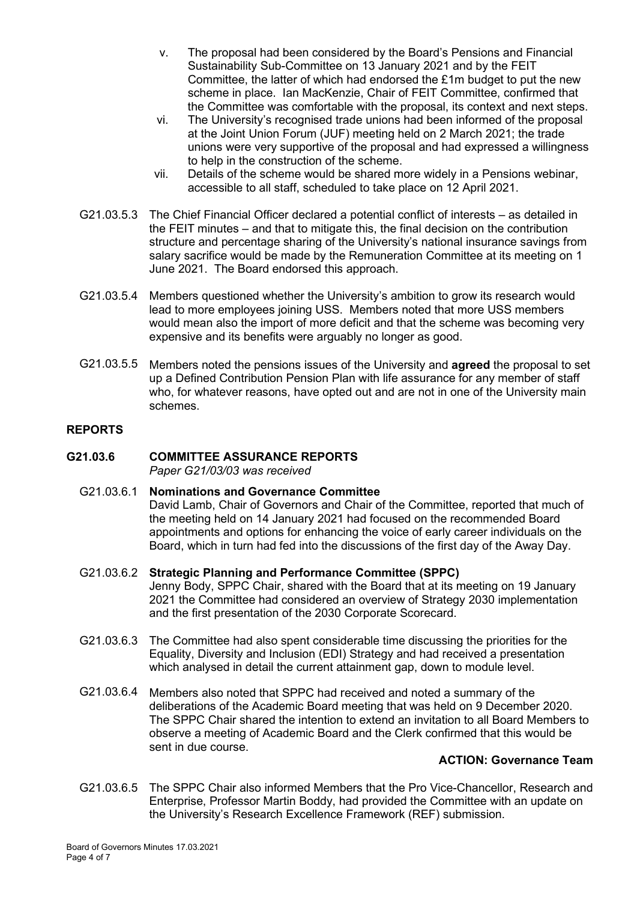- v. The proposal had been considered by the Board's Pensions and Financial Sustainability Sub-Committee on 13 January 2021 and by the FEIT Committee, the latter of which had endorsed the £1m budget to put the new scheme in place. Ian MacKenzie, Chair of FEIT Committee, confirmed that the Committee was comfortable with the proposal, its context and next steps.
- vi. The University's recognised trade unions had been informed of the proposal at the Joint Union Forum (JUF) meeting held on 2 March 2021; the trade unions were very supportive of the proposal and had expressed a willingness to help in the construction of the scheme.
- vii. Details of the scheme would be shared more widely in a Pensions webinar, accessible to all staff, scheduled to take place on 12 April 2021.
- G21.03.5.3 The Chief Financial Officer declared a potential conflict of interests as detailed in the FEIT minutes – and that to mitigate this, the final decision on the contribution structure and percentage sharing of the University's national insurance savings from salary sacrifice would be made by the Remuneration Committee at its meeting on 1 June 2021. The Board endorsed this approach.
- G21.03.5.4 Members questioned whether the University's ambition to grow its research would lead to more employees joining USS. Members noted that more USS members would mean also the import of more deficit and that the scheme was becoming very expensive and its benefits were arguably no longer as good.
- G21.03.5.5 Members noted the pensions issues of the University and **agreed** the proposal to set up a Defined Contribution Pension Plan with life assurance for any member of staff who, for whatever reasons, have opted out and are not in one of the University main schemes.

#### **REPORTS**

# **G21.03.6 COMMITTEE ASSURANCE REPORTS**

*Paper G21/03/03 was received*

#### G21.03.6.1 **Nominations and Governance Committee**

David Lamb, Chair of Governors and Chair of the Committee, reported that much of the meeting held on 14 January 2021 had focused on the recommended Board appointments and options for enhancing the voice of early career individuals on the Board, which in turn had fed into the discussions of the first day of the Away Day.

- G21.03.6.2 **Strategic Planning and Performance Committee (SPPC)** Jenny Body, SPPC Chair, shared with the Board that at its meeting on 19 January 2021 the Committee had considered an overview of Strategy 2030 implementation and the first presentation of the 2030 Corporate Scorecard.
- G21.03.6.3 The Committee had also spent considerable time discussing the priorities for the Equality, Diversity and Inclusion (EDI) Strategy and had received a presentation which analysed in detail the current attainment gap, down to module level.
- G21.03.6.4 Members also noted that SPPC had received and noted a summary of the deliberations of the Academic Board meeting that was held on 9 December 2020. The SPPC Chair shared the intention to extend an invitation to all Board Members to observe a meeting of Academic Board and the Clerk confirmed that this would be sent in due course.

#### **ACTION: Governance Team**

G21.03.6.5 The SPPC Chair also informed Members that the Pro Vice-Chancellor, Research and Enterprise, Professor Martin Boddy, had provided the Committee with an update on the University's Research Excellence Framework (REF) submission.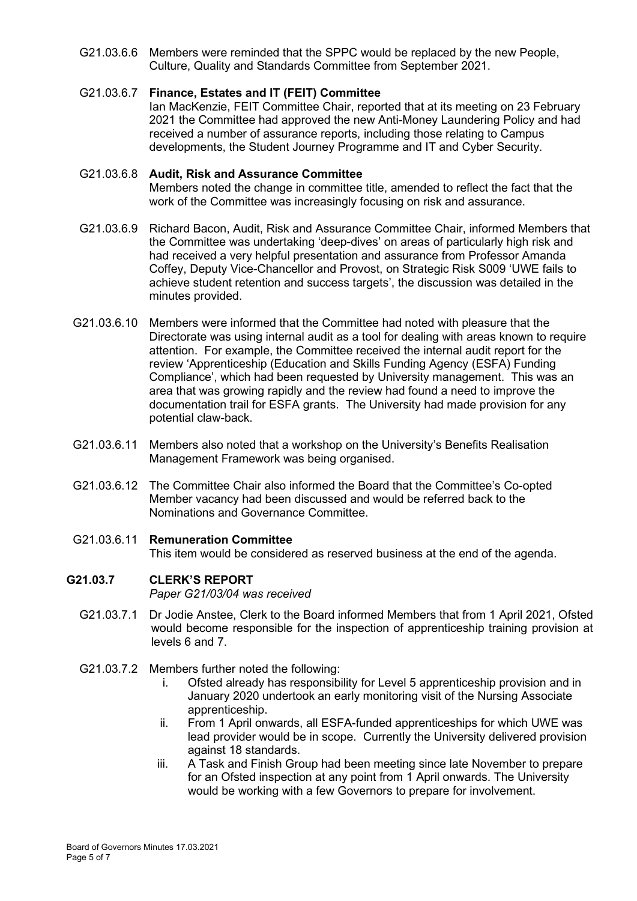G21.03.6.6 Members were reminded that the SPPC would be replaced by the new People, Culture, Quality and Standards Committee from September 2021.

#### G21.03.6.7 **Finance, Estates and IT (FEIT) Committee**

Ian MacKenzie, FEIT Committee Chair, reported that at its meeting on 23 February 2021 the Committee had approved the new Anti-Money Laundering Policy and had received a number of assurance reports, including those relating to Campus developments, the Student Journey Programme and IT and Cyber Security.

#### G21.03.6.8 **Audit, Risk and Assurance Committee**

Members noted the change in committee title, amended to reflect the fact that the work of the Committee was increasingly focusing on risk and assurance.

- G21.03.6.9 Richard Bacon, Audit, Risk and Assurance Committee Chair, informed Members that the Committee was undertaking 'deep-dives' on areas of particularly high risk and had received a very helpful presentation and assurance from Professor Amanda Coffey, Deputy Vice-Chancellor and Provost, on Strategic Risk S009 'UWE fails to achieve student retention and success targets', the discussion was detailed in the minutes provided.
- G21.03.6.10 Members were informed that the Committee had noted with pleasure that the Directorate was using internal audit as a tool for dealing with areas known to require attention. For example, the Committee received the internal audit report for the review 'Apprenticeship (Education and Skills Funding Agency (ESFA) Funding Compliance', which had been requested by University management. This was an area that was growing rapidly and the review had found a need to improve the documentation trail for ESFA grants. The University had made provision for any potential claw-back.
- G21.03.6.11 Members also noted that a workshop on the University's Benefits Realisation Management Framework was being organised.
- G21.03.6.12 The Committee Chair also informed the Board that the Committee's Co-opted Member vacancy had been discussed and would be referred back to the Nominations and Governance Committee.
- G21.03.6.11 **Remuneration Committee** This item would be considered as reserved business at the end of the agenda.

#### **G21.03.7 CLERK'S REPORT**

*Paper G21/03/04 was received*

- G21.03.7.1 Dr Jodie Anstee, Clerk to the Board informed Members that from 1 April 2021, Ofsted would become responsible for the inspection of apprenticeship training provision at levels 6 and 7.
- G21.03.7.2 Members further noted the following:
	- i. Ofsted already has responsibility for Level 5 apprenticeship provision and in January 2020 undertook an early monitoring visit of the Nursing Associate apprenticeship.
	- ii. From 1 April onwards, all ESFA-funded apprenticeships for which UWE was lead provider would be in scope. Currently the University delivered provision against 18 standards.
	- iii. A Task and Finish Group had been meeting since late November to prepare for an Ofsted inspection at any point from 1 April onwards. The University would be working with a few Governors to prepare for involvement.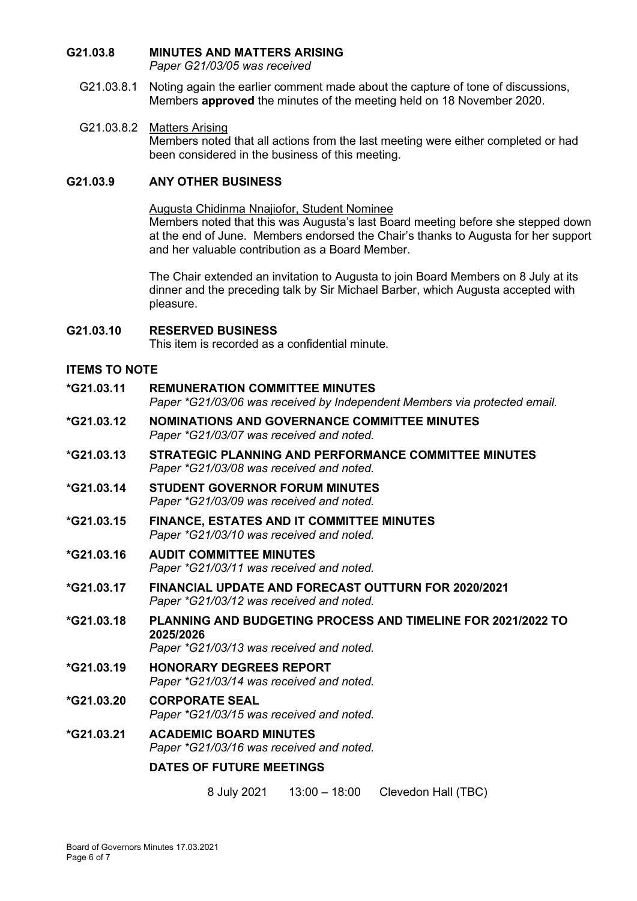# **G21.03.8 MINUTES AND MATTERS ARISING**

*Paper G21/03/05 was received*

G21.03.8.1 Noting again the earlier comment made about the capture of tone of discussions, Members **approved** the minutes of the meeting held on 18 November 2020.

### G21.03.8.2 Matters Arising

Members noted that all actions from the last meeting were either completed or had been considered in the business of this meeting.

### **G21.03.9 ANY OTHER BUSINESS**

Augusta Chidinma Nnajiofor, Student Nominee

Members noted that this was Augusta's last Board meeting before she stepped down at the end of June. Members endorsed the Chair's thanks to Augusta for her support and her valuable contribution as a Board Member.

The Chair extended an invitation to Augusta to join Board Members on 8 July at its dinner and the preceding talk by Sir Michael Barber, which Augusta accepted with pleasure.

# **G21.03.10 RESERVED BUSINESS**

This item is recorded as a confidential minute.

## **ITEMS TO NOTE**

**\*G21.03.11 REMUNERATION COMMITTEE MINUTES** *Paper \*G21/03/06 was received by Independent Members via protected email.* **\*G21.03.12 NOMINATIONS AND GOVERNANCE COMMITTEE MINUTES** *Paper \*G21/03/07 was received and noted.* **\*G21.03.13 STRATEGIC PLANNING AND PERFORMANCE COMMITTEE MINUTES** *Paper \*G21/03/08 was received and noted.* **\*G21.03.14 STUDENT GOVERNOR FORUM MINUTES** *Paper \*G21/03/09 was received and noted.* **\*G21.03.15 FINANCE, ESTATES AND IT COMMITTEE MINUTES** *Paper \*G21/03/10 was received and noted.* **\*G21.03.16 AUDIT COMMITTEE MINUTES** *Paper \*G21/03/11 was received and noted.* **\*G21.03.17 FINANCIAL UPDATE AND FORECAST OUTTURN FOR 2020/2021** *Paper \*G21/03/12 was received and noted.* **\*G21.03.18 PLANNING AND BUDGETING PROCESS AND TIMELINE FOR 2021/2022 TO 2025/2026** *Paper \*G21/03/13 was received and noted.* **\*G21.03.19 HONORARY DEGREES REPORT** *Paper \*G21/03/14 was received and noted.* **\*G21.03.20 CORPORATE SEAL** *Paper \*G21/03/15 was received and noted.* **\*G21.03.21 ACADEMIC BOARD MINUTES** *Paper \*G21/03/16 was received and noted.* **DATES OF FUTURE MEETINGS** 8 July 2021 13:00 – 18:00 Clevedon Hall (TBC)